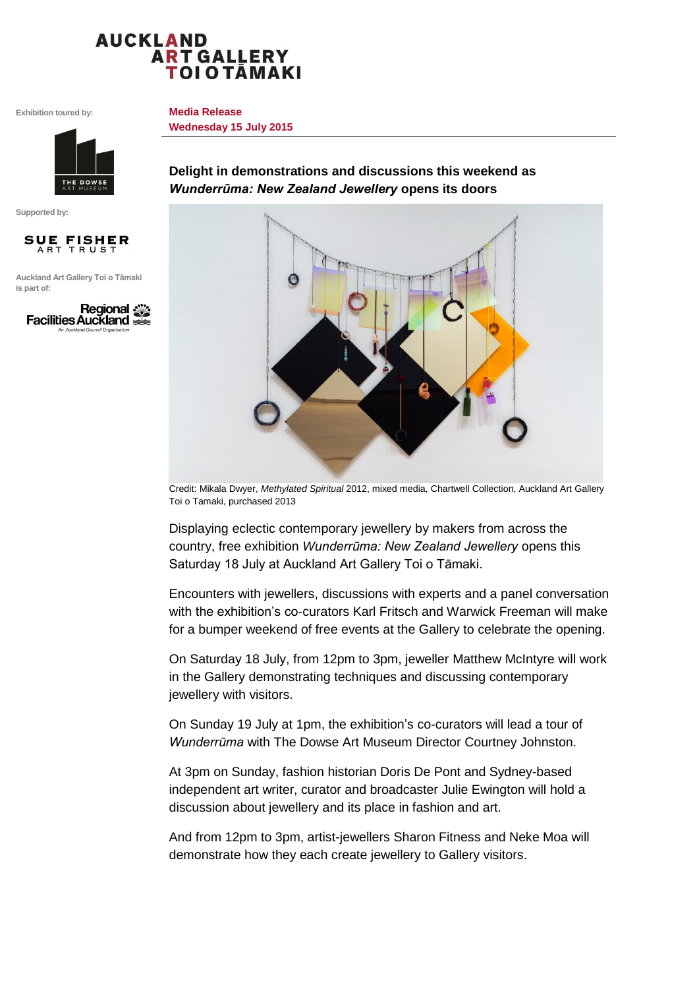## **AUCKLAND ART GALLERY TOIOTĀMAKI**

**Media Release**

**Wednesday 15 July 2015**

**Exhibition toured by:**



**Supported by:** 



**Auckland Art Gallery Toi o Tāmaki is part of:**



**Delight in demonstrations and discussions this weekend as**  *Wunderrūma: New Zealand Jewellery* **opens its doors**



Credit: Mikala Dwyer, *Methylated Spiritual* 2012, mixed media, Chartwell Collection, Auckland Art Gallery Toi o Tamaki, purchased 2013

Displaying eclectic contemporary jewellery by makers from across the country, free exhibition *Wunderrūma: New Zealand Jewellery* opens this Saturday 18 July at Auckland Art Gallery Toi o Tāmaki.

Encounters with jewellers, discussions with experts and a panel conversation with the exhibition's co-curators Karl Fritsch and Warwick Freeman will make for a bumper weekend of free events at the Gallery to celebrate the opening.

On Saturday 18 July, from 12pm to 3pm, jeweller Matthew McIntyre will work in the Gallery demonstrating techniques and discussing contemporary jewellery with visitors.

On Sunday 19 July at 1pm, the exhibition's co-curators will lead a tour of *Wunderrūma* with The Dowse Art Museum Director Courtney Johnston.

At 3pm on Sunday, fashion historian Doris De Pont and Sydney-based independent art writer, curator and broadcaster Julie Ewington will hold a discussion about jewellery and its place in fashion and art.

And from 12pm to 3pm, artist-jewellers Sharon Fitness and Neke Moa will demonstrate how they each create jewellery to Gallery visitors.